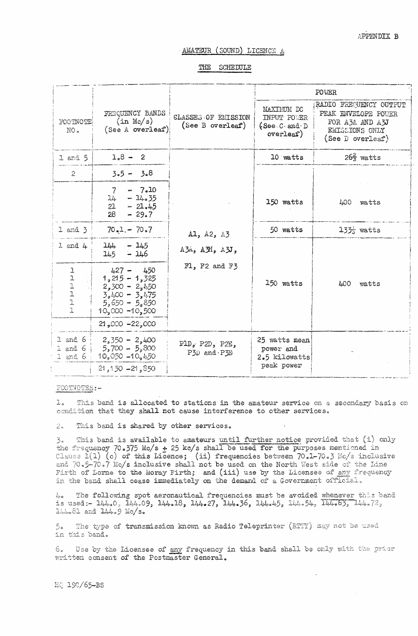# AMATEUR (SOUND) LICENCE A

THE SCHEDULE

|                                                                                    |                                                                                                              |                                                | POWER                                                    |                                                                                                          |
|------------------------------------------------------------------------------------|--------------------------------------------------------------------------------------------------------------|------------------------------------------------|----------------------------------------------------------|----------------------------------------------------------------------------------------------------------|
| FOOTNOTE<br>NO.                                                                    | FREQUENCY BANDS<br>(in Mc/s)<br>(See A overleaf)                                                             | <b>CLASSES OF EMISSION</b><br>(See B overleaf) | MAXIMUM DC<br>INPUT POWER<br>(See.C. and D)<br>overleaf) | RADIO FREQUENCY OUTPUT<br>PEAK ENVELOPE POUER<br>FOR A3A AND A3J<br>EMISSIONS ONLY<br>(See $D$ overleaf) |
| $1$ and $5$                                                                        | $1.8 - 2$                                                                                                    |                                                | 10 watts                                                 | $26\frac{2}{3}$ watts                                                                                    |
| $\overline{2}$                                                                     | $3.5 - 3.8$                                                                                                  |                                                |                                                          |                                                                                                          |
|                                                                                    | $-7.10$<br>7<br>14<br>$-14.35$<br>$21 - 21.45$<br>28<br>$-29.7$                                              |                                                | 150 watts                                                | 400<br>watts                                                                                             |
| $1$ and $3$                                                                        | $70.1 - 70.7$                                                                                                | Al, A2, A3                                     | 50 watts                                                 | $13\frac{1}{5}$ watts                                                                                    |
| $1$ and $4$                                                                        | $144 - 145$<br>$145 - 146$                                                                                   | A3A, A3H, A3J,                                 |                                                          |                                                                                                          |
| l<br>$\begin{array}{c} \texttt{ll} \\ \texttt{ll} \\ \texttt{ll} \end{array}$<br>1 | $427 - 450$<br>$1,215 - 1,325$<br>$2,300 - 2,150$<br>$3,400 - 3,475$<br>$5,650 - 5,850$<br>$10,000 - 10,500$ | F1, F2 and F3                                  | 150 watts                                                | 400<br>watts                                                                                             |
|                                                                                    | $21,000 - 22,000$                                                                                            |                                                |                                                          |                                                                                                          |
| $1$ and 6<br>$1$ and $6$<br>$1$ and $6$                                            | $2,350 - 2,400$<br>$5,700 - 5,800$<br>$10,050 - 10,450$                                                      | PlD, P2D, P2E,<br>P3D and P3E                  | 25 watts mean<br>power and<br>2.5 kilowatts              |                                                                                                          |
|                                                                                    | $21,150 - 21,850$                                                                                            |                                                | peak power                                               |                                                                                                          |

## FOOTNOTES:-

This band is allocated to stations in the amateur service on a secondary basis on  $1<sub>n</sub>$ condition that they shall not cause interference to other services.

This band is shared by other services.  $2.1$ 

This band is available to amateurs until further notice provided that (i) only  $\mathfrak{Z}_{\alpha}$ the frequency 70.375 Mc/s + 25 kc/s shall be used for the purposes mentioned in Clause  $1(1)$  (c) of this Licence; (ii) frequencies between 70.1-70.3 Mc/s inclusive and 70.5-70.7 Mc/s inclusive shall not be used on the North West side of the Line Firth of Lorne to the Moray Firth; and (iii) use by the Licensee of any frequency in the band shall cease immediately on the demand of a Government official.

4. The following spot aeronautical frequencies must be avoided whenever this band is used: - 144.0, 144.09, 144.18, 144.27, 144.36, 144.45, 144.54, 144.63, 144.72,  $144.81$  and  $144.9$  Mc/s.

The type of transmission known as Radio Teleprinter (RTTY) may not be used 5. in this band.

Use by the Licensee of any frequency in this band shall be only with the prior 6. written consent of the Postmaster General.